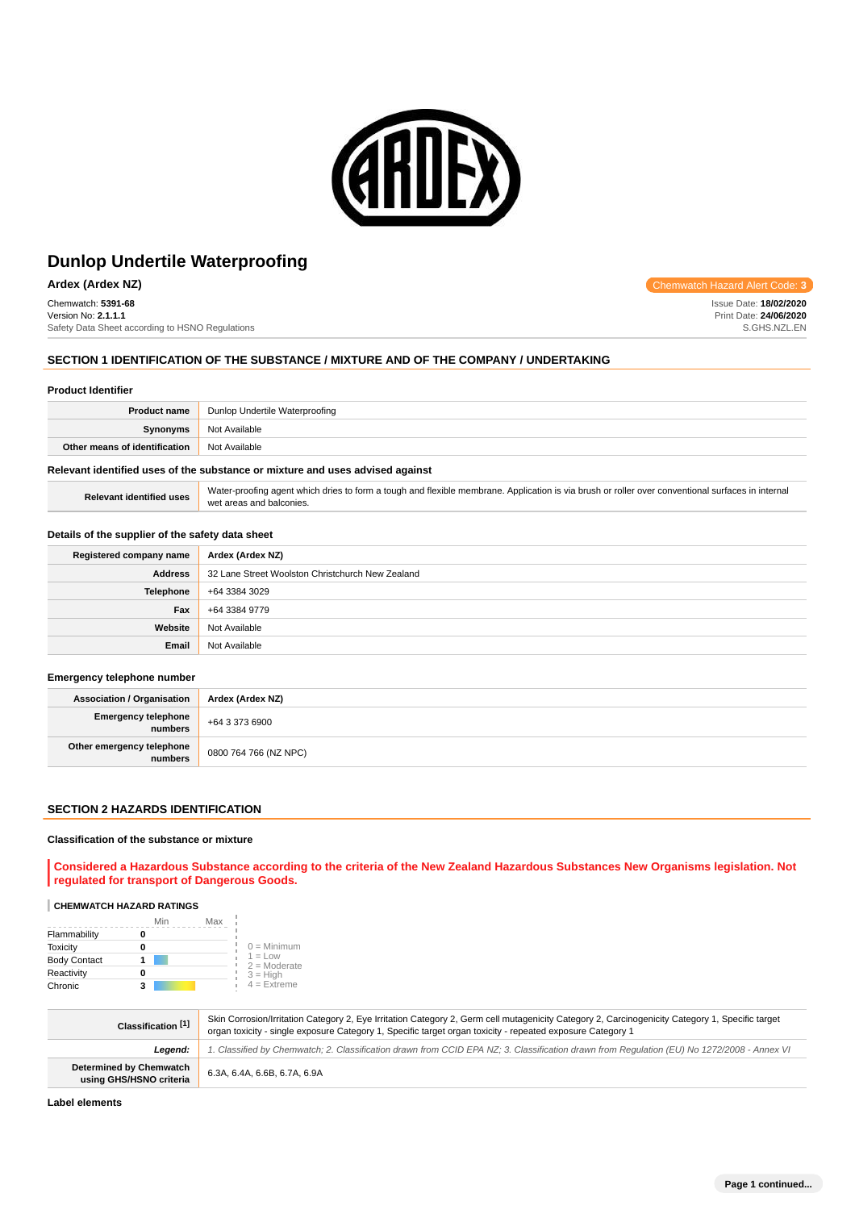

**Ardex (Ardex NZ) Chemwatch Hazard Alert Code: 3** 

Chemwatch: **5391-68** Version No: **2.1.1.1** Safety Data Sheet according to HSNO Regulations

## **SECTION 1 IDENTIFICATION OF THE SUBSTANCE / MIXTURE AND OF THE COMPANY / UNDERTAKING**

#### **Product Identifier**

| <b>Product name</b>           | Dunlop Undertile Waterproofing |
|-------------------------------|--------------------------------|
| <b>Synonyms</b>               | Not Available                  |
| Other means of identification | Not Available                  |
|                               |                                |

## **Relevant identified uses of the substance or mixture and uses advised against**

Relevant identified uses Water-proofing agent which dries to form a tough and flexible membrane. Application is via brush or roller over conventional surfaces in internal wet areas and balconies.

#### **Details of the supplier of the safety data sheet**

| Registered company name | Ardex (Ardex NZ)                                 |
|-------------------------|--------------------------------------------------|
| <b>Address</b>          | 32 Lane Street Woolston Christchurch New Zealand |
| <b>Telephone</b>        | +64 3384 3029                                    |
| Fax                     | +64 3384 9779                                    |
| Website                 | Not Available                                    |
| Email                   | Not Available                                    |

#### **Emergency telephone number**

| <b>Association / Organisation</b>    | Ardex (Ardex NZ)      |
|--------------------------------------|-----------------------|
| Emergency telephone<br>numbers       | +64 3 373 6900        |
| Other emergency telephone<br>numbers | 0800 764 766 (NZ NPC) |

## **SECTION 2 HAZARDS IDENTIFICATION**

## **Classification of the substance or mixture**

**Considered a Hazardous Substance according to the criteria of the New Zealand Hazardous Substances New Organisms legislation. Not regulated for transport of Dangerous Goods.**

#### **CHEMWATCH HAZARD RATINGS**

|                     | Min | Max |                             |
|---------------------|-----|-----|-----------------------------|
| Flammability        |     |     |                             |
| <b>Toxicity</b>     | 0   |     | $0 =$ Minimum               |
| <b>Body Contact</b> |     |     | $1 = Low$<br>$2 =$ Moderate |
| Reactivity          | 0   |     | $3 = H$ igh                 |
| Chronic             | з   |     | $4 =$ Extreme               |

| Classification [1]                                        | Skin Corrosion/Irritation Category 2, Eye Irritation Category 2, Germ cell mutagenicity Category 2, Carcinogenicity Category 1, Specific target<br>organ toxicity - single exposure Category 1, Specific target organ toxicity - repeated exposure Category 1 |
|-----------------------------------------------------------|---------------------------------------------------------------------------------------------------------------------------------------------------------------------------------------------------------------------------------------------------------------|
| Leaend:                                                   | 1. Classified by Chemwatch; 2. Classification drawn from CCID EPA NZ; 3. Classification drawn from Requlation (EU) No 1272/2008 - Annex VI                                                                                                                    |
| <b>Determined by Chemwatch</b><br>using GHS/HSNO criteria | 6.3A, 6.4A, 6.6B, 6.7A, 6.9A                                                                                                                                                                                                                                  |

**Label elements**

Issue Date: **18/02/2020** Print Date: **24/06/2020** S.GHS.NZL.EN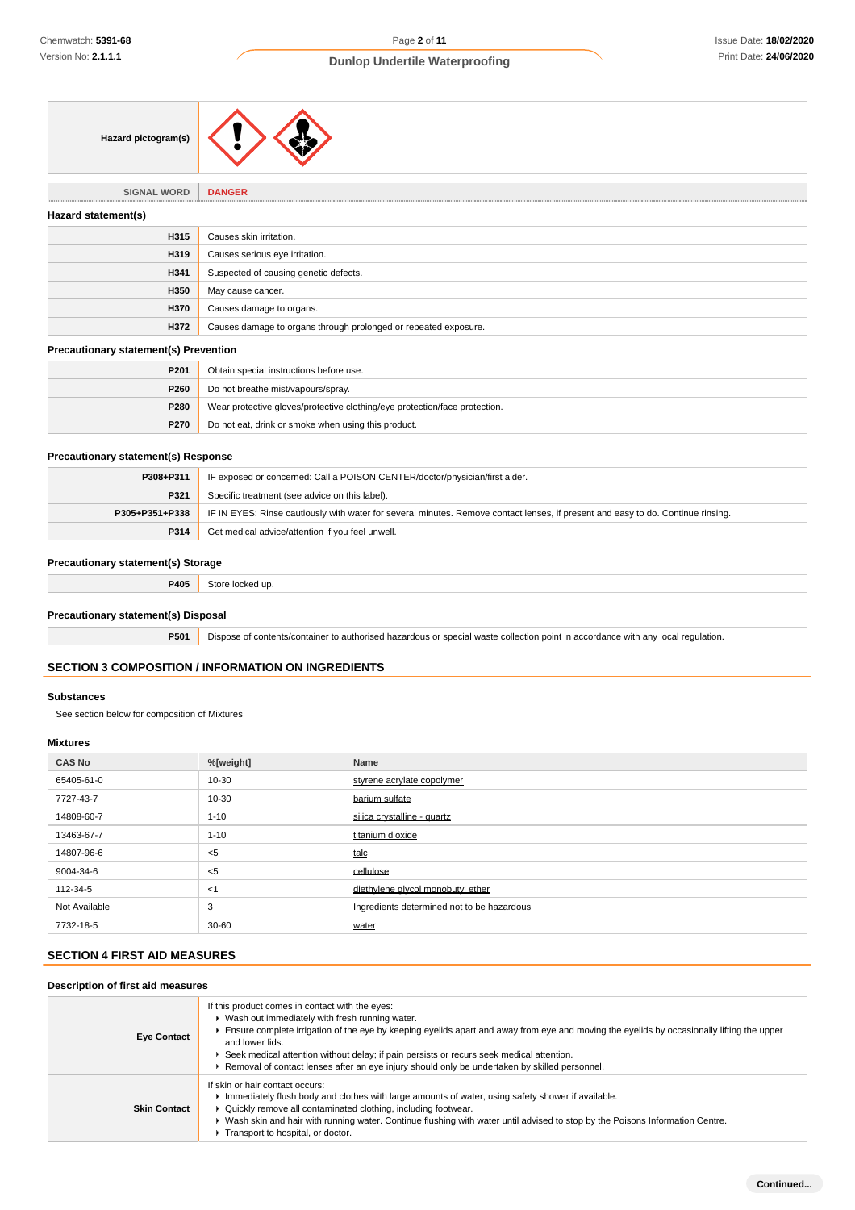| Hazard pictogram(s) |  |  |
|---------------------|--|--|
|---------------------|--|--|

**SIGNAL WORD DANGER**

| Hazard statement(s) |                                                                 |
|---------------------|-----------------------------------------------------------------|
| H315                | Causes skin irritation.                                         |
| H319                | Causes serious eye irritation.                                  |
| H341                | Suspected of causing genetic defects.                           |
| H350                | May cause cancer.                                               |
| H370                | Causes damage to organs.                                        |
| H372                | Causes damage to organs through prolonged or repeated exposure. |
|                     |                                                                 |

### **Precautionary statement(s) Prevention**

| P <sub>201</sub> | Obtain special instructions before use.                                    |
|------------------|----------------------------------------------------------------------------|
| P260             | Do not breathe mist/vapours/spray.                                         |
| <b>P280</b>      | Wear protective gloves/protective clothing/eye protection/face protection. |
| <b>P270</b>      | Do not eat, drink or smoke when using this product.                        |

## **Precautionary statement(s) Response**

| P308+P311      | IF exposed or concerned: Call a POISON CENTER/doctor/physician/first aider.                                                      |
|----------------|----------------------------------------------------------------------------------------------------------------------------------|
| P321           | Specific treatment (see advice on this label).                                                                                   |
| P305+P351+P338 | IF IN EYES: Rinse cautiously with water for several minutes. Remove contact lenses, if present and easy to do. Continue rinsing. |
| P314           | Get medical advice/attention if you feel unwell.                                                                                 |

### **Precautionary statement(s) Storage**

**P405** Store locked up.

### **Precautionary statement(s) Disposal**

**P501** Dispose of contents/container to authorised hazardous or special waste collection point in accordance with any local regulation.

# **SECTION 3 COMPOSITION / INFORMATION ON INGREDIENTS**

### **Substances**

See section below for composition of Mixtures

# **Mixtures**

| <b>CAS No</b> | %[weight] | <b>Name</b>                                |
|---------------|-----------|--------------------------------------------|
| 65405-61-0    | 10-30     | styrene acrylate copolymer                 |
| 7727-43-7     | 10-30     | barium sulfate                             |
| 14808-60-7    | $1 - 10$  | silica crystalline - quartz                |
| 13463-67-7    | $1 - 10$  | titanium dioxide                           |
| 14807-96-6    | $<$ 5     | talc                                       |
| 9004-34-6     | $<$ 5     | cellulose                                  |
| 112-34-5      | $<$ 1     | diethvlene alvcol monobutyl ether          |
| Not Available | 3         | Ingredients determined not to be hazardous |
| 7732-18-5     | 30-60     | water                                      |

# **SECTION 4 FIRST AID MEASURES**

# **Description of first aid measures**

| <b>Eye Contact</b>  | If this product comes in contact with the eyes:<br>▶ Wash out immediately with fresh running water.<br>Ensure complete irrigation of the eye by keeping eyelids apart and away from eye and moving the eyelids by occasionally lifting the upper<br>and lower lids.<br>► Seek medical attention without delay; if pain persists or recurs seek medical attention.<br>Removal of contact lenses after an eye injury should only be undertaken by skilled personnel. |
|---------------------|--------------------------------------------------------------------------------------------------------------------------------------------------------------------------------------------------------------------------------------------------------------------------------------------------------------------------------------------------------------------------------------------------------------------------------------------------------------------|
| <b>Skin Contact</b> | If skin or hair contact occurs:<br>Immediately flush body and clothes with large amounts of water, using safety shower if available.<br>▶ Quickly remove all contaminated clothing, including footwear.<br>▶ Wash skin and hair with running water. Continue flushing with water until advised to stop by the Poisons Information Centre.<br>Transport to hospital, or doctor.                                                                                     |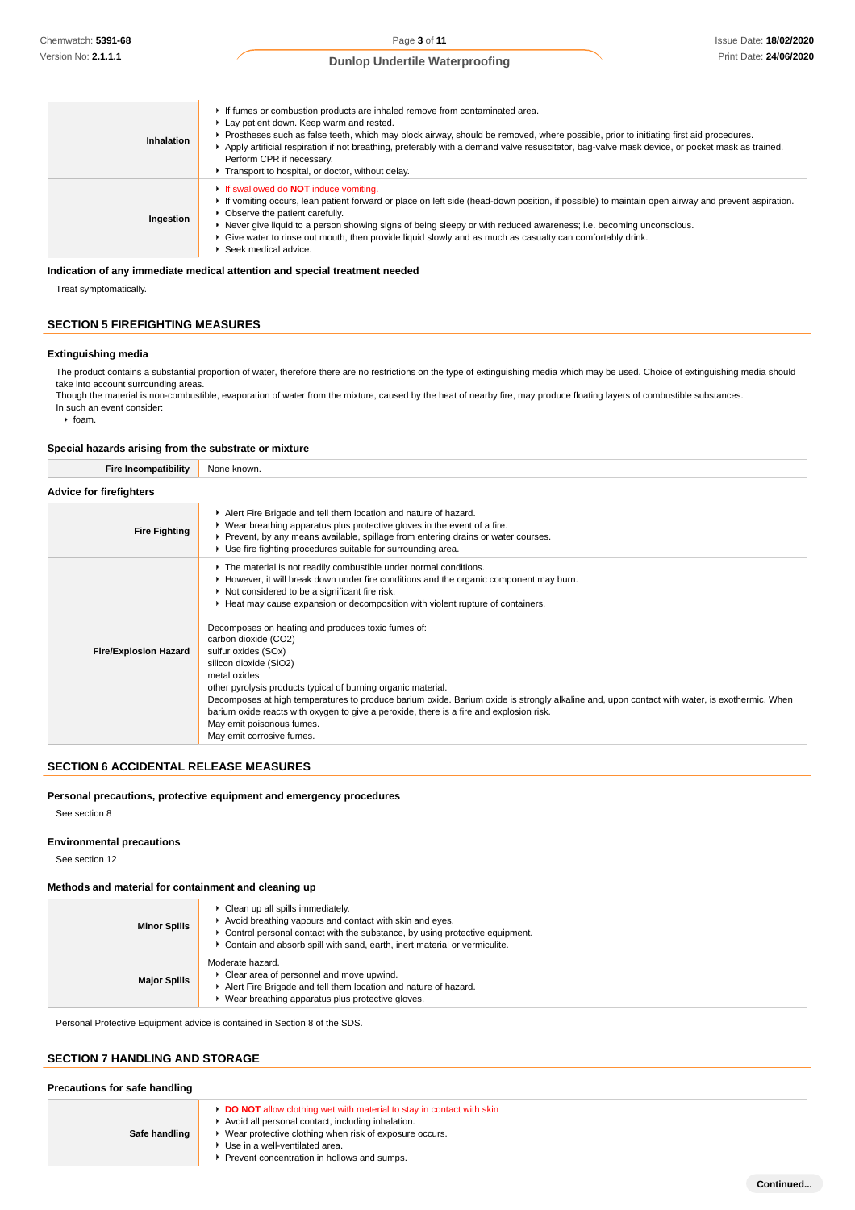| Inhalation | If fumes or combustion products are inhaled remove from contaminated area.<br>Lay patient down. Keep warm and rested.<br>▶ Prostheses such as false teeth, which may block airway, should be removed, where possible, prior to initiating first aid procedures.<br>Apply artificial respiration if not breathing, preferably with a demand valve resuscitator, bag-valve mask device, or pocket mask as trained.<br>Perform CPR if necessary.<br>Transport to hospital, or doctor, without delay.  |
|------------|----------------------------------------------------------------------------------------------------------------------------------------------------------------------------------------------------------------------------------------------------------------------------------------------------------------------------------------------------------------------------------------------------------------------------------------------------------------------------------------------------|
| Ingestion  | <b>If swallowed do NOT induce vomiting.</b><br>If vomiting occurs, lean patient forward or place on left side (head-down position, if possible) to maintain open airway and prevent aspiration.<br>• Observe the patient carefully.<br>► Never give liquid to a person showing signs of being sleepy or with reduced awareness; i.e. becoming unconscious.<br>► Give water to rinse out mouth, then provide liquid slowly and as much as casualty can comfortably drink.<br>▶ Seek medical advice. |

#### **Indication of any immediate medical attention and special treatment needed**

Treat symptomatically.

# **SECTION 5 FIREFIGHTING MEASURES**

### **Extinguishing media**

The product contains a substantial proportion of water, therefore there are no restrictions on the type of extinguishing media which may be used. Choice of extinguishing media should take into account surrounding areas.

Though the material is non-combustible, evaporation of water from the mixture, caused by the heat of nearby fire, may produce floating layers of combustible substances. In such an event consider:

 $\triangleright$  foam.

### **Special hazards arising from the substrate or mixture**

| <b>Fire Incompatibility</b>    | None known.                                                                                                                                                                                                                                                                                                                                                                                                                                                                                                                                                                                                                                                                                                                                                                                                          |
|--------------------------------|----------------------------------------------------------------------------------------------------------------------------------------------------------------------------------------------------------------------------------------------------------------------------------------------------------------------------------------------------------------------------------------------------------------------------------------------------------------------------------------------------------------------------------------------------------------------------------------------------------------------------------------------------------------------------------------------------------------------------------------------------------------------------------------------------------------------|
| <b>Advice for firefighters</b> |                                                                                                                                                                                                                                                                                                                                                                                                                                                                                                                                                                                                                                                                                                                                                                                                                      |
| <b>Fire Fighting</b>           | Alert Fire Brigade and tell them location and nature of hazard.<br>▶ Wear breathing apparatus plus protective gloves in the event of a fire.<br>▶ Prevent, by any means available, spillage from entering drains or water courses.<br>▶ Use fire fighting procedures suitable for surrounding area.                                                                                                                                                                                                                                                                                                                                                                                                                                                                                                                  |
| <b>Fire/Explosion Hazard</b>   | The material is not readily combustible under normal conditions.<br>► However, it will break down under fire conditions and the organic component may burn.<br>Not considered to be a significant fire risk.<br>► Heat may cause expansion or decomposition with violent rupture of containers.<br>Decomposes on heating and produces toxic fumes of:<br>carbon dioxide (CO2)<br>sulfur oxides (SOx)<br>silicon dioxide (SiO2)<br>metal oxides<br>other pyrolysis products typical of burning organic material.<br>Decomposes at high temperatures to produce barium oxide. Barium oxide is strongly alkaline and, upon contact with water, is exothermic. When<br>barium oxide reacts with oxygen to give a peroxide, there is a fire and explosion risk.<br>May emit poisonous fumes.<br>May emit corrosive fumes. |

### **SECTION 6 ACCIDENTAL RELEASE MEASURES**

### **Personal precautions, protective equipment and emergency procedures**

See section 8

#### **Environmental precautions**

See section 12

### **Methods and material for containment and cleaning up**

| <b>Minor Spills</b> | Clean up all spills immediately.<br>Avoid breathing vapours and contact with skin and eyes.<br>$\epsilon$ Control personal contact with the substance, by using protective equipment.<br>Contain and absorb spill with sand, earth, inert material or vermiculite. |
|---------------------|--------------------------------------------------------------------------------------------------------------------------------------------------------------------------------------------------------------------------------------------------------------------|
| <b>Major Spills</b> | Moderate hazard.<br>Clear area of personnel and move upwind.<br>Alert Fire Brigade and tell them location and nature of hazard.<br>Wear breathing apparatus plus protective gloves.                                                                                |

Personal Protective Equipment advice is contained in Section 8 of the SDS.

### **SECTION 7 HANDLING AND STORAGE**

#### **Precautions for safe handling**

| Safe handling | <b>DO NOT</b> allow clothing wet with material to stay in contact with skin<br>Avoid all personal contact, including inhalation.<br>Wear protective clothing when risk of exposure occurs.<br>Use in a well-ventilated area.<br>Prevent concentration in hollows and sumps. |
|---------------|-----------------------------------------------------------------------------------------------------------------------------------------------------------------------------------------------------------------------------------------------------------------------------|
|---------------|-----------------------------------------------------------------------------------------------------------------------------------------------------------------------------------------------------------------------------------------------------------------------------|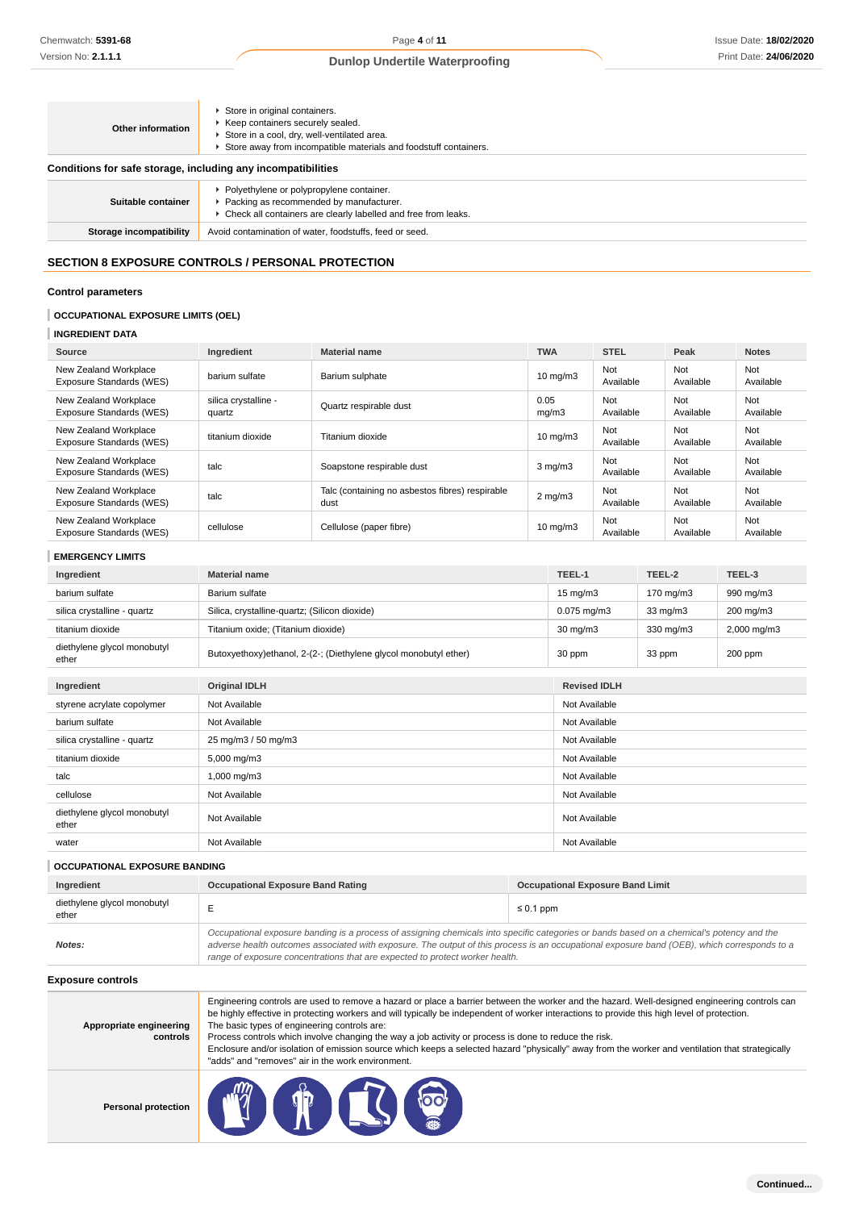| Other information                                            | Store in original containers.<br>▶ Keep containers securely sealed.<br>Store in a cool, dry, well-ventilated area.<br>Store away from incompatible materials and foodstuff containers. |  |  |  |
|--------------------------------------------------------------|----------------------------------------------------------------------------------------------------------------------------------------------------------------------------------------|--|--|--|
| Conditions for safe storage, including any incompatibilities |                                                                                                                                                                                        |  |  |  |
| Suitable container                                           | ▶ Polyethylene or polypropylene container.<br>Packing as recommended by manufacturer.<br>• Check all containers are clearly labelled and free from leaks.                              |  |  |  |
| Storage incompatibility                                      | Avoid contamination of water, foodstuffs, feed or seed.                                                                                                                                |  |  |  |

# **SECTION 8 EXPOSURE CONTROLS / PERSONAL PROTECTION**

## **Control parameters**

## **OCCUPATIONAL EXPOSURE LIMITS (OEL)**

## **INGREDIENT DATA**

| Source                                            | Ingredient                     | <b>Material name</b>                                    | <b>TWA</b>        | <b>STEL</b>      | Peak             | <b>Notes</b>            |
|---------------------------------------------------|--------------------------------|---------------------------------------------------------|-------------------|------------------|------------------|-------------------------|
| New Zealand Workplace<br>Exposure Standards (WES) | barium sulfate                 | Barium sulphate                                         | $10 \text{ mg/m}$ | Not<br>Available | Not<br>Available | Not<br>Available        |
| New Zealand Workplace<br>Exposure Standards (WES) | silica crystalline -<br>quartz | Quartz respirable dust                                  | 0.05<br>mq/m3     | Not<br>Available | Not<br>Available | Not<br>Available        |
| New Zealand Workplace<br>Exposure Standards (WES) | titanium dioxide               | Titanium dioxide                                        | $10 \text{ mg/m}$ | Not<br>Available | Not<br>Available | <b>Not</b><br>Available |
| New Zealand Workplace<br>Exposure Standards (WES) | talc                           | Soapstone respirable dust                               | $3$ mg/m $3$      | Not<br>Available | Not<br>Available | Not<br>Available        |
| New Zealand Workplace<br>Exposure Standards (WES) | talc                           | Talc (containing no asbestos fibres) respirable<br>dust | $2 \text{ mg/m}$  | Not<br>Available | Not<br>Available | Not<br>Available        |
| New Zealand Workplace<br>Exposure Standards (WES) | cellulose                      | Cellulose (paper fibre)                                 | $10 \text{ mg/m}$ | Not<br>Available | Not<br>Available | Not<br>Available        |

### **EMERGENCY LIMITS**

| Chemwatch: 5391-68                                                  |                                                                     | Page 4 of 11                                                                                                                                                                                                                                                                                                                                                                                                                                                                                                                                                                                                    |  |                              |                                         |                  |                  | Issue Date: 18/02/202 |
|---------------------------------------------------------------------|---------------------------------------------------------------------|-----------------------------------------------------------------------------------------------------------------------------------------------------------------------------------------------------------------------------------------------------------------------------------------------------------------------------------------------------------------------------------------------------------------------------------------------------------------------------------------------------------------------------------------------------------------------------------------------------------------|--|------------------------------|-----------------------------------------|------------------|------------------|-----------------------|
| Version No: <b>2.1.1.1</b>                                          |                                                                     | <b>Dunlop Undertile Waterproofing</b>                                                                                                                                                                                                                                                                                                                                                                                                                                                                                                                                                                           |  |                              |                                         |                  |                  | Print Date: 24/06/202 |
| <b>Other information</b>                                            | Store in original containers.<br>▶ Keep containers securely sealed. | Store in a cool, dry, well-ventilated area.<br>Store away from incompatible materials and foodstuff containers.                                                                                                                                                                                                                                                                                                                                                                                                                                                                                                 |  |                              |                                         |                  |                  |                       |
| Conditions for safe storage, including any incompatibilities        |                                                                     |                                                                                                                                                                                                                                                                                                                                                                                                                                                                                                                                                                                                                 |  |                              |                                         |                  |                  |                       |
| Suitable container                                                  |                                                                     | ▶ Polyethylene or polypropylene container.<br>▶ Packing as recommended by manufacturer.<br>• Check all containers are clearly labelled and free from leaks.                                                                                                                                                                                                                                                                                                                                                                                                                                                     |  |                              |                                         |                  |                  |                       |
| <b>Storage incompatibility</b>                                      |                                                                     | Avoid contamination of water, foodstuffs, feed or seed.                                                                                                                                                                                                                                                                                                                                                                                                                                                                                                                                                         |  |                              |                                         |                  |                  |                       |
| <b>SECTION 8 EXPOSURE CONTROLS / PERSONAL PROTECTION</b>            |                                                                     |                                                                                                                                                                                                                                                                                                                                                                                                                                                                                                                                                                                                                 |  |                              |                                         |                  |                  |                       |
| <b>Control parameters</b>                                           |                                                                     |                                                                                                                                                                                                                                                                                                                                                                                                                                                                                                                                                                                                                 |  |                              |                                         |                  |                  |                       |
| <b>OCCUPATIONAL EXPOSURE LIMITS (OEL)</b><br><b>INGREDIENT DATA</b> |                                                                     |                                                                                                                                                                                                                                                                                                                                                                                                                                                                                                                                                                                                                 |  |                              |                                         |                  |                  |                       |
| Source                                                              | Ingredient                                                          | <b>Material name</b>                                                                                                                                                                                                                                                                                                                                                                                                                                                                                                                                                                                            |  | <b>TWA</b>                   | <b>STEL</b>                             |                  | Peak             | <b>Notes</b>          |
| New Zealand Workplace<br>Exposure Standards (WES)                   | barium sulfate                                                      | Barium sulphate                                                                                                                                                                                                                                                                                                                                                                                                                                                                                                                                                                                                 |  | $10 \text{ mg/m}$            | Not<br>Available                        |                  | Not<br>Available | Not<br>Available      |
| New Zealand Workplace<br>Exposure Standards (WES)                   | silica crystalline -<br>quartz                                      | Quartz respirable dust                                                                                                                                                                                                                                                                                                                                                                                                                                                                                                                                                                                          |  | 0.05<br>mg/m3                | Not<br>Available                        |                  | Not<br>Available | Not<br>Available      |
| New Zealand Workplace<br>Exposure Standards (WES)                   | titanium dioxide                                                    | Titanium dioxide                                                                                                                                                                                                                                                                                                                                                                                                                                                                                                                                                                                                |  | $10 \text{ mg/m}$            | Not<br>Available                        |                  | Not<br>Available | Not<br>Available      |
| New Zealand Workplace<br>Exposure Standards (WES)                   | talc                                                                | Soapstone respirable dust                                                                                                                                                                                                                                                                                                                                                                                                                                                                                                                                                                                       |  | $3$ mg/m $3$                 | Not<br>Available                        |                  | Not<br>Available | Not<br>Available      |
| New Zealand Workplace<br>Exposure Standards (WES)                   | talc                                                                | Talc (containing no asbestos fibres) respirable<br>dust                                                                                                                                                                                                                                                                                                                                                                                                                                                                                                                                                         |  | $2$ mg/m $3$                 | Not<br>Available                        |                  | Not<br>Available | Not<br>Available      |
| New Zealand Workplace<br>Exposure Standards (WES)                   | cellulose                                                           | Cellulose (paper fibre)                                                                                                                                                                                                                                                                                                                                                                                                                                                                                                                                                                                         |  | Not<br>10 mg/m3<br>Available |                                         | Not<br>Available | Not<br>Available |                       |
| <b>EMERGENCY LIMITS</b>                                             |                                                                     |                                                                                                                                                                                                                                                                                                                                                                                                                                                                                                                                                                                                                 |  |                              |                                         |                  |                  |                       |
| Ingredient                                                          | <b>Material name</b>                                                |                                                                                                                                                                                                                                                                                                                                                                                                                                                                                                                                                                                                                 |  | TEEL-1                       |                                         | TEEL-2           |                  | TEEL-3                |
| barium sulfate                                                      | Barium sulfate                                                      |                                                                                                                                                                                                                                                                                                                                                                                                                                                                                                                                                                                                                 |  | $15 \text{ mg/m}$            |                                         |                  | 170 mg/m3        | 990 mg/m3             |
| silica crystalline - quartz                                         | Silica, crystalline-quartz; (Silicon dioxide)                       |                                                                                                                                                                                                                                                                                                                                                                                                                                                                                                                                                                                                                 |  | $0.075$ mg/m3                | 33 mg/m3                                |                  | 200 mg/m3        |                       |
| titanium dioxide                                                    | Titanium oxide; (Titanium dioxide)                                  |                                                                                                                                                                                                                                                                                                                                                                                                                                                                                                                                                                                                                 |  | $30 \text{ mg/m}$            | 330 mg/m3                               |                  | 2,000 mg/m3      |                       |
| diethylene glycol monobutyl<br>ether                                |                                                                     | Butoxyethoxy)ethanol, 2-(2-; (Diethylene glycol monobutyl ether)                                                                                                                                                                                                                                                                                                                                                                                                                                                                                                                                                |  | 30 ppm                       |                                         | 33 ppm           |                  | 200 ppm               |
| Ingredient                                                          | <b>Original IDLH</b>                                                |                                                                                                                                                                                                                                                                                                                                                                                                                                                                                                                                                                                                                 |  |                              | <b>Revised IDLH</b>                     |                  |                  |                       |
| styrene acrylate copolymer                                          | Not Available                                                       |                                                                                                                                                                                                                                                                                                                                                                                                                                                                                                                                                                                                                 |  | Not Available                |                                         |                  |                  |                       |
| barium sulfate                                                      | Not Available                                                       |                                                                                                                                                                                                                                                                                                                                                                                                                                                                                                                                                                                                                 |  |                              | Not Available                           |                  |                  |                       |
| silica crystalline - quartz                                         | 25 mg/m3 / 50 mg/m3                                                 |                                                                                                                                                                                                                                                                                                                                                                                                                                                                                                                                                                                                                 |  | Not Available                |                                         |                  |                  |                       |
| titanium dioxide                                                    | 5,000 mg/m3                                                         |                                                                                                                                                                                                                                                                                                                                                                                                                                                                                                                                                                                                                 |  | Not Available                |                                         |                  |                  |                       |
| talc                                                                | 1,000 mg/m3                                                         |                                                                                                                                                                                                                                                                                                                                                                                                                                                                                                                                                                                                                 |  |                              | Not Available                           |                  |                  |                       |
| cellulose                                                           | Not Available                                                       |                                                                                                                                                                                                                                                                                                                                                                                                                                                                                                                                                                                                                 |  | Not Available                |                                         |                  |                  |                       |
| diethylene glycol monobutyl<br>ether                                | Not Available                                                       |                                                                                                                                                                                                                                                                                                                                                                                                                                                                                                                                                                                                                 |  | Not Available                |                                         |                  |                  |                       |
| water                                                               | Not Available                                                       |                                                                                                                                                                                                                                                                                                                                                                                                                                                                                                                                                                                                                 |  | Not Available                |                                         |                  |                  |                       |
| <b>OCCUPATIONAL EXPOSURE BANDING</b>                                |                                                                     |                                                                                                                                                                                                                                                                                                                                                                                                                                                                                                                                                                                                                 |  |                              |                                         |                  |                  |                       |
| Ingredient                                                          | <b>Occupational Exposure Band Rating</b>                            |                                                                                                                                                                                                                                                                                                                                                                                                                                                                                                                                                                                                                 |  |                              | <b>Occupational Exposure Band Limit</b> |                  |                  |                       |
| diethylene glycol monobutyl<br>ether                                | Е<br>$\leq 0.1$ ppm                                                 |                                                                                                                                                                                                                                                                                                                                                                                                                                                                                                                                                                                                                 |  |                              |                                         |                  |                  |                       |
| Notes:                                                              |                                                                     | Occupational exposure banding is a process of assigning chemicals into specific categories or bands based on a chemical's potency and the<br>adverse health outcomes associated with exposure. The output of this process is an occupational exposure band (OEB), which corresponds to a<br>range of exposure concentrations that are expected to protect worker health.                                                                                                                                                                                                                                        |  |                              |                                         |                  |                  |                       |
| <b>Exposure controls</b>                                            |                                                                     |                                                                                                                                                                                                                                                                                                                                                                                                                                                                                                                                                                                                                 |  |                              |                                         |                  |                  |                       |
| Appropriate engineering<br>controls                                 | The basic types of engineering controls are:                        | Engineering controls are used to remove a hazard or place a barrier between the worker and the hazard. Well-designed engineering controls can<br>be highly effective in protecting workers and will typically be independent of worker interactions to provide this high level of protection.<br>Process controls which involve changing the way a job activity or process is done to reduce the risk.<br>Enclosure and/or isolation of emission source which keeps a selected hazard "physically" away from the worker and ventilation that strategically<br>"adds" and "removes" air in the work environment. |  |                              |                                         |                  |                  |                       |
| <b>Personal protection</b>                                          |                                                                     |                                                                                                                                                                                                                                                                                                                                                                                                                                                                                                                                                                                                                 |  |                              |                                         |                  |                  |                       |

### **OCCUPATIONAL EXPOSURE BANDING**

| Ingredient                           | <b>Occupational Exposure Band Rating</b> | <b>Occupational Exposure Band Limit</b>                                                                                                                                                                                                                                                  |  |  |  |
|--------------------------------------|------------------------------------------|------------------------------------------------------------------------------------------------------------------------------------------------------------------------------------------------------------------------------------------------------------------------------------------|--|--|--|
| diethylene glycol monobutyl<br>ether |                                          | $\leq 0.1$ ppm                                                                                                                                                                                                                                                                           |  |  |  |
| Notes:                               |                                          | Occupational exposure banding is a process of assigning chemicals into specific categories or bands based on a chemical's potency and the<br>adverse health outcomes associated with exposure. The output of this process is an occupational exposure band (OEB), which corresponds to a |  |  |  |

#### **Exposure controls**

| Appropriate engineering<br>controls | Engineering controls are used to remove a hazard or place a barrier between the worker and the hazard. Well-designed engineering controls can<br>be highly effective in protecting workers and will typically be independent of worker interactions to provide this high level of protection.<br>The basic types of engineering controls are:<br>Process controls which involve changing the way a job activity or process is done to reduce the risk.<br>Enclosure and/or isolation of emission source which keeps a selected hazard "physically" away from the worker and ventilation that strategically<br>"adds" and "removes" air in the work environment. |
|-------------------------------------|-----------------------------------------------------------------------------------------------------------------------------------------------------------------------------------------------------------------------------------------------------------------------------------------------------------------------------------------------------------------------------------------------------------------------------------------------------------------------------------------------------------------------------------------------------------------------------------------------------------------------------------------------------------------|
| <b>Personal protection</b>          | $\mathbb{R}$ $\mathbb{C}$ $\infty$                                                                                                                                                                                                                                                                                                                                                                                                                                                                                                                                                                                                                              |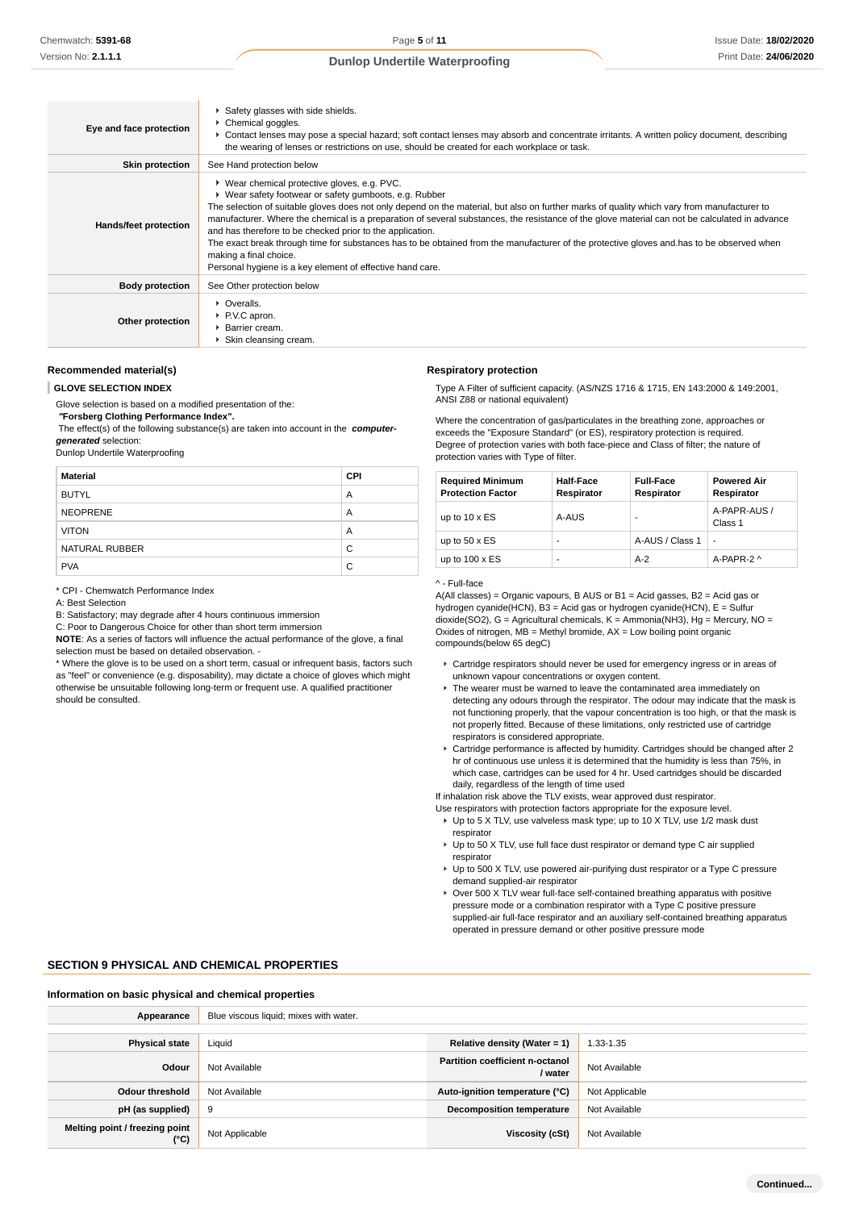| Eye and face protection | ▶ Safety glasses with side shields.<br>Chemical goggles.<br>► Contact lenses may pose a special hazard; soft contact lenses may absorb and concentrate irritants. A written policy document, describing<br>the wearing of lenses or restrictions on use, should be created for each workplace or task.                                                                                                                                                                                                                                                                                                                                                                                                   |
|-------------------------|----------------------------------------------------------------------------------------------------------------------------------------------------------------------------------------------------------------------------------------------------------------------------------------------------------------------------------------------------------------------------------------------------------------------------------------------------------------------------------------------------------------------------------------------------------------------------------------------------------------------------------------------------------------------------------------------------------|
| <b>Skin protection</b>  | See Hand protection below                                                                                                                                                                                                                                                                                                                                                                                                                                                                                                                                                                                                                                                                                |
| Hands/feet protection   | ▶ Wear chemical protective gloves, e.g. PVC.<br>• Wear safety footwear or safety gumboots, e.g. Rubber<br>The selection of suitable gloves does not only depend on the material, but also on further marks of quality which vary from manufacturer to<br>manufacturer. Where the chemical is a preparation of several substances, the resistance of the glove material can not be calculated in advance<br>and has therefore to be checked prior to the application.<br>The exact break through time for substances has to be obtained from the manufacturer of the protective gloves and has to be observed when<br>making a final choice.<br>Personal hygiene is a key element of effective hand care. |
| <b>Body protection</b>  | See Other protection below                                                                                                                                                                                                                                                                                                                                                                                                                                                                                                                                                                                                                                                                               |
| Other protection        | • Overalls.<br>▶ P.V.C apron.<br>▶ Barrier cream.<br>Skin cleansing cream.                                                                                                                                                                                                                                                                                                                                                                                                                                                                                                                                                                                                                               |

### **Recommended material(s)**

#### **GLOVE SELECTION INDEX**

Glove selection is based on a modified presentation of the:

 **"Forsberg Clothing Performance Index".**

 The effect(s) of the following substance(s) are taken into account in the **computergenerated** selection:

Dunlop Undertile Waterproofing

| <b>Material</b> | <b>CPI</b> |
|-----------------|------------|
| <b>BUTYL</b>    | A          |
| <b>NEOPRENE</b> | A          |
| <b>VITON</b>    | A          |
| NATURAL RUBBER  | C          |
| <b>PVA</b>      | C          |

\* CPI - Chemwatch Performance Index

A: Best Selection

B: Satisfactory; may degrade after 4 hours continuous immersion

C: Poor to Dangerous Choice for other than short term immersion

**NOTE**: As a series of factors will influence the actual performance of the glove, a final selection must be based on detailed observation. -

\* Where the glove is to be used on a short term, casual or infrequent basis, factors such as "feel" or convenience (e.g. disposability), may dictate a choice of gloves which might otherwise be unsuitable following long-term or frequent use. A qualified practitioner should be consulted.

#### **Respiratory protection**

Type A Filter of sufficient capacity. (AS/NZS 1716 & 1715, EN 143:2000 & 149:2001, ANSI Z88 or national equivalent)

Where the concentration of gas/particulates in the breathing zone, approaches or exceeds the "Exposure Standard" (or ES), respiratory protection is required. Degree of protection varies with both face-piece and Class of filter; the nature of protection varies with Type of filter.

| <b>Required Minimum</b><br><b>Protection Factor</b> | <b>Half-Face</b><br>Respirator | <b>Full-Face</b><br>Respirator | <b>Powered Air</b><br>Respirator |
|-----------------------------------------------------|--------------------------------|--------------------------------|----------------------------------|
| up to $10 \times ES$                                | A-AUS                          | ۰                              | A-PAPR-AUS /<br>Class 1          |
| up to $50 \times ES$                                | -                              | A-AUS / Class 1                | $\blacksquare$                   |
| up to $100 \times ES$                               | -                              | $A-2$                          | A-PAPR-2 ^                       |

#### ^ - Full-face

A(All classes) = Organic vapours, B AUS or B1 = Acid gasses, B2 = Acid gas or hydrogen cyanide(HCN), B3 = Acid gas or hydrogen cyanide(HCN), E = Sulfur dioxide(SO2), G = Agricultural chemicals, K = Ammonia(NH3), Hg = Mercury, NO = Oxides of nitrogen, MB = Methyl bromide, AX = Low boiling point organic compounds(below 65 degC)

- Cartridge respirators should never be used for emergency ingress or in areas of unknown vapour concentrations or oxygen content.
- ▶ The wearer must be warned to leave the contaminated area immediately on detecting any odours through the respirator. The odour may indicate that the mask is not functioning properly, that the vapour concentration is too high, or that the mask is not properly fitted. Because of these limitations, only restricted use of cartridge respirators is considered appropriate.
- Cartridge performance is affected by humidity. Cartridges should be changed after 2 hr of continuous use unless it is determined that the humidity is less than 75%, in which case, cartridges can be used for 4 hr. Used cartridges should be discarded daily, regardless of the length of time used

If inhalation risk above the TLV exists, wear approved dust respirator.

Use respirators with protection factors appropriate for the exposure level.

- ▶ Up to 5 X TLV, use valveless mask type; up to 10 X TLV, use 1/2 mask dust respirator
- ► Up to 50 X TLV, use full face dust respirator or demand type C air supplied respirator
- Up to 500 X TLV, use powered air-purifying dust respirator or a Type C pressure demand supplied-air respirator
- ► Over 500 X TLV wear full-face self-contained breathing apparatus with positive pressure mode or a combination respirator with a Type C positive pressure supplied-air full-face respirator and an auxiliary self-contained breathing apparatus operated in pressure demand or other positive pressure mode

#### **SECTION 9 PHYSICAL AND CHEMICAL PROPERTIES**

#### **Information on basic physical and chemical properties**

| Appearance                             | Blue viscous liquid; mixes with water. |                                                   |                |
|----------------------------------------|----------------------------------------|---------------------------------------------------|----------------|
|                                        |                                        |                                                   |                |
| <b>Physical state</b>                  | Liquid                                 | Relative density (Water = 1)                      | 1.33-1.35      |
| Odour                                  | Not Available                          | <b>Partition coefficient n-octanol</b><br>/ water | Not Available  |
| <b>Odour threshold</b>                 | Not Available                          | Auto-ignition temperature (°C)                    | Not Applicable |
| pH (as supplied)                       | 9                                      | <b>Decomposition temperature</b>                  | Not Available  |
| Melting point / freezing point<br>(°C) | Not Applicable                         | Viscosity (cSt)                                   | Not Available  |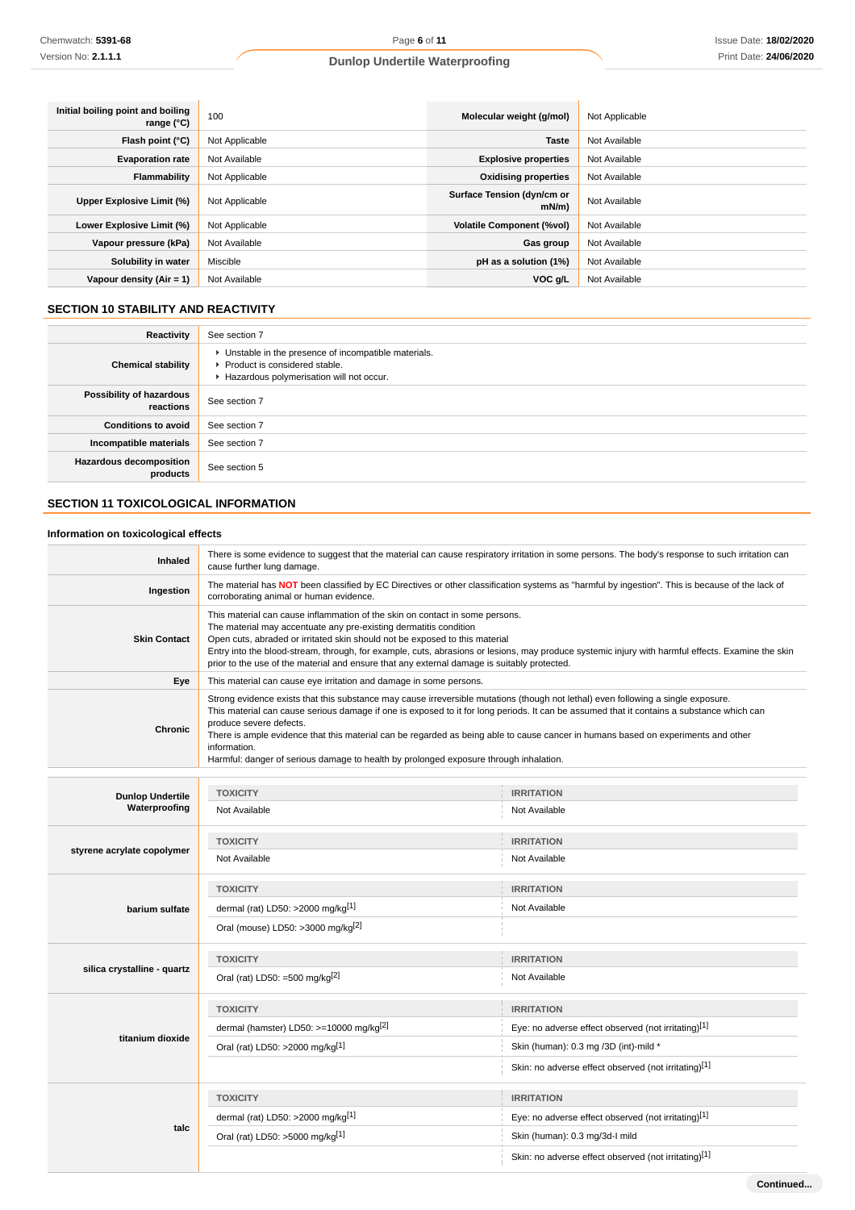| Initial boiling point and boiling<br>range $(^{\circ}C)$ | 100            | Molecular weight (g/mol)               | Not Applicable |
|----------------------------------------------------------|----------------|----------------------------------------|----------------|
| Flash point $(°C)$                                       | Not Applicable | <b>Taste</b>                           | Not Available  |
| <b>Evaporation rate</b>                                  | Not Available  | <b>Explosive properties</b>            | Not Available  |
| <b>Flammability</b>                                      | Not Applicable | <b>Oxidising properties</b>            | Not Available  |
| Upper Explosive Limit (%)                                | Not Applicable | Surface Tension (dyn/cm or<br>$mN/m$ ) | Not Available  |
| Lower Explosive Limit (%)                                | Not Applicable | <b>Volatile Component (%vol)</b>       | Not Available  |
| Vapour pressure (kPa)                                    | Not Available  | Gas group                              | Not Available  |
| Solubility in water                                      | Miscible       | pH as a solution (1%)                  | Not Available  |
| Vapour density $(Air = 1)$                               | Not Available  | VOC g/L                                | Not Available  |

# **SECTION 10 STABILITY AND REACTIVITY**

| Reactivity                                 | See section 7                                                                                                                        |
|--------------------------------------------|--------------------------------------------------------------------------------------------------------------------------------------|
| <b>Chemical stability</b>                  | • Unstable in the presence of incompatible materials.<br>▶ Product is considered stable.<br>Hazardous polymerisation will not occur. |
| Possibility of hazardous<br>reactions      | See section 7                                                                                                                        |
| <b>Conditions to avoid</b>                 | See section 7                                                                                                                        |
| Incompatible materials                     | See section 7                                                                                                                        |
| <b>Hazardous decomposition</b><br>products | See section 5                                                                                                                        |

## **SECTION 11 TOXICOLOGICAL INFORMATION**

**talc**

## **Information on toxicological effects**

| Inhaled                     | There is some evidence to suggest that the material can cause respiratory irritation in some persons. The body's response to such irritation can<br>cause further lung damage.                                                                                                                                                                                                                                                                                                                                                                          |                                                      |  |
|-----------------------------|---------------------------------------------------------------------------------------------------------------------------------------------------------------------------------------------------------------------------------------------------------------------------------------------------------------------------------------------------------------------------------------------------------------------------------------------------------------------------------------------------------------------------------------------------------|------------------------------------------------------|--|
| Ingestion                   | The material has NOT been classified by EC Directives or other classification systems as "harmful by ingestion". This is because of the lack of<br>corroborating animal or human evidence.                                                                                                                                                                                                                                                                                                                                                              |                                                      |  |
| <b>Skin Contact</b>         | This material can cause inflammation of the skin on contact in some persons.<br>The material may accentuate any pre-existing dermatitis condition<br>Open cuts, abraded or irritated skin should not be exposed to this material<br>Entry into the blood-stream, through, for example, cuts, abrasions or lesions, may produce systemic injury with harmful effects. Examine the skin<br>prior to the use of the material and ensure that any external damage is suitably protected.                                                                    |                                                      |  |
| Eye                         | This material can cause eye irritation and damage in some persons.                                                                                                                                                                                                                                                                                                                                                                                                                                                                                      |                                                      |  |
| <b>Chronic</b>              | Strong evidence exists that this substance may cause irreversible mutations (though not lethal) even following a single exposure.<br>This material can cause serious damage if one is exposed to it for long periods. It can be assumed that it contains a substance which can<br>produce severe defects.<br>There is ample evidence that this material can be regarded as being able to cause cancer in humans based on experiments and other<br>information.<br>Harmful: danger of serious damage to health by prolonged exposure through inhalation. |                                                      |  |
|                             |                                                                                                                                                                                                                                                                                                                                                                                                                                                                                                                                                         |                                                      |  |
| <b>Dunlop Undertile</b>     | <b>TOXICITY</b>                                                                                                                                                                                                                                                                                                                                                                                                                                                                                                                                         | <b>IRRITATION</b>                                    |  |
| Waterproofing               | Not Available                                                                                                                                                                                                                                                                                                                                                                                                                                                                                                                                           | Not Available                                        |  |
| styrene acrylate copolymer  | <b>TOXICITY</b>                                                                                                                                                                                                                                                                                                                                                                                                                                                                                                                                         | <b>IRRITATION</b>                                    |  |
|                             | Not Available                                                                                                                                                                                                                                                                                                                                                                                                                                                                                                                                           | Not Available                                        |  |
|                             | <b>TOXICITY</b>                                                                                                                                                                                                                                                                                                                                                                                                                                                                                                                                         | <b>IRRITATION</b>                                    |  |
| barium sulfate              | dermal (rat) LD50: >2000 mg/kg[1]                                                                                                                                                                                                                                                                                                                                                                                                                                                                                                                       | Not Available                                        |  |
|                             | Oral (mouse) LD50: >3000 mg/kg <sup>[2]</sup>                                                                                                                                                                                                                                                                                                                                                                                                                                                                                                           |                                                      |  |
|                             | <b>TOXICITY</b>                                                                                                                                                                                                                                                                                                                                                                                                                                                                                                                                         | <b>IRRITATION</b>                                    |  |
| silica crystalline - quartz | Oral (rat) LD50: =500 mg/kg $^{[2]}$                                                                                                                                                                                                                                                                                                                                                                                                                                                                                                                    | Not Available                                        |  |
|                             | <b>TOXICITY</b>                                                                                                                                                                                                                                                                                                                                                                                                                                                                                                                                         | <b>IRRITATION</b>                                    |  |
|                             | dermal (hamster) LD50: >=10000 mg/kg <sup>[2]</sup>                                                                                                                                                                                                                                                                                                                                                                                                                                                                                                     | Eye: no adverse effect observed (not irritating)[1]  |  |
| titanium dioxide            | Oral (rat) LD50: >2000 mg/kg[1]                                                                                                                                                                                                                                                                                                                                                                                                                                                                                                                         | Skin (human): 0.3 mg /3D (int)-mild *                |  |
|                             |                                                                                                                                                                                                                                                                                                                                                                                                                                                                                                                                                         | Skin: no adverse effect observed (not irritating)[1] |  |

**TOXICITY IRRITATION**

dermal (rat) LD50: >2000 mg/kg<sup>[1]</sup> eye: no adverse effect observed (not irritating)<sup>[1]</sup>

Skin: no adverse effect observed (not irritating)<sup>[1]</sup>

Oral (rat) LD50: >5000 mg/kg[1] Skin (human): 0.3 mg/3d-I mild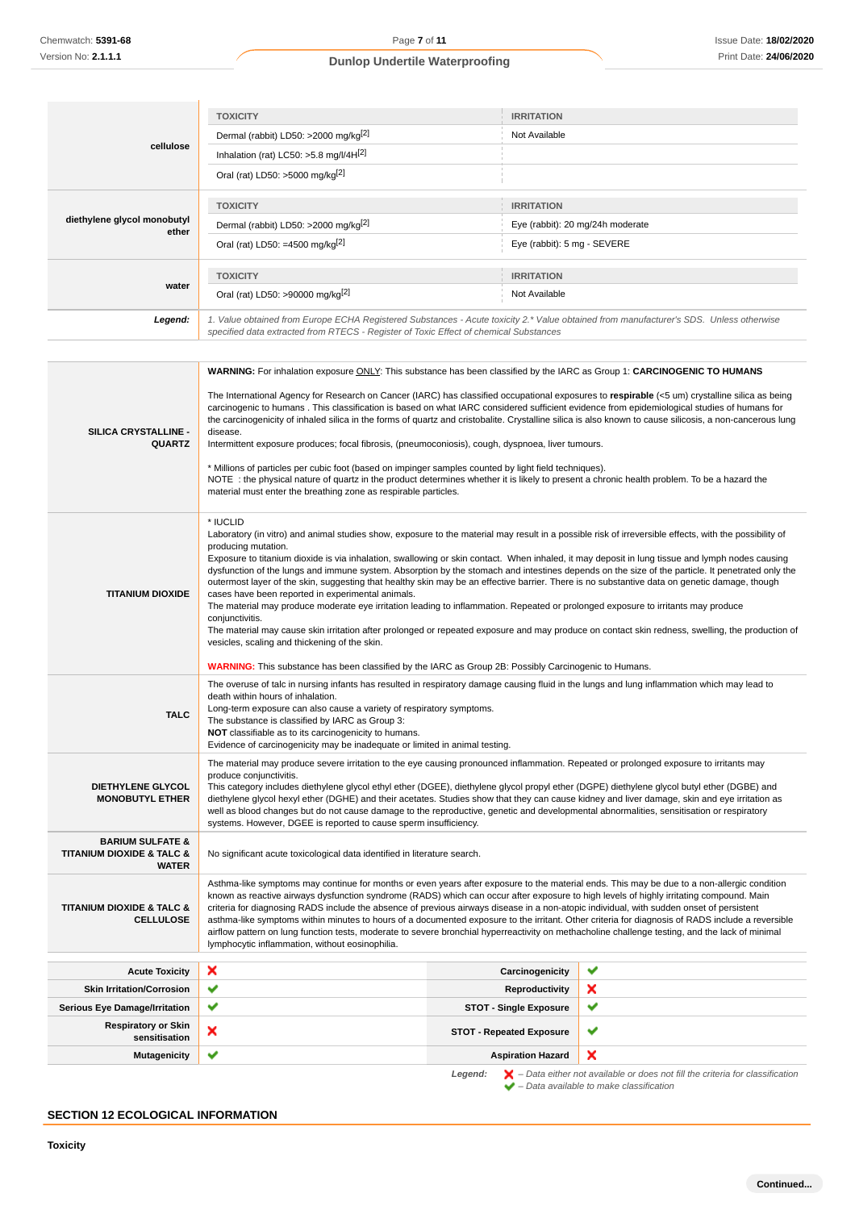|                                       | <b>TOXICITY</b>                                                                                                                                                                                                                                                                                                                                                                                                                                                                                                                                                                                                                                                                                                                                                                                                                                                                                                                                                                                                                   | <b>IRRITATION</b>                |  |
|---------------------------------------|-----------------------------------------------------------------------------------------------------------------------------------------------------------------------------------------------------------------------------------------------------------------------------------------------------------------------------------------------------------------------------------------------------------------------------------------------------------------------------------------------------------------------------------------------------------------------------------------------------------------------------------------------------------------------------------------------------------------------------------------------------------------------------------------------------------------------------------------------------------------------------------------------------------------------------------------------------------------------------------------------------------------------------------|----------------------------------|--|
|                                       | Dermal (rabbit) LD50: >2000 mg/kg <sup>[2]</sup>                                                                                                                                                                                                                                                                                                                                                                                                                                                                                                                                                                                                                                                                                                                                                                                                                                                                                                                                                                                  | Not Available                    |  |
| cellulose                             | Inhalation (rat) LC50: $>5.8$ mg/l/4H $^{[2]}$                                                                                                                                                                                                                                                                                                                                                                                                                                                                                                                                                                                                                                                                                                                                                                                                                                                                                                                                                                                    |                                  |  |
|                                       | Oral (rat) LD50: >5000 mg/kg[2]                                                                                                                                                                                                                                                                                                                                                                                                                                                                                                                                                                                                                                                                                                                                                                                                                                                                                                                                                                                                   |                                  |  |
|                                       | <b>TOXICITY</b>                                                                                                                                                                                                                                                                                                                                                                                                                                                                                                                                                                                                                                                                                                                                                                                                                                                                                                                                                                                                                   | <b>IRRITATION</b>                |  |
| diethylene glycol monobutyl           | Dermal (rabbit) LD50: >2000 mg/kg <sup>[2]</sup>                                                                                                                                                                                                                                                                                                                                                                                                                                                                                                                                                                                                                                                                                                                                                                                                                                                                                                                                                                                  | Eye (rabbit): 20 mg/24h moderate |  |
| ether                                 | Oral (rat) LD50: =4500 mg/kg <sup>[2]</sup>                                                                                                                                                                                                                                                                                                                                                                                                                                                                                                                                                                                                                                                                                                                                                                                                                                                                                                                                                                                       | Eye (rabbit): 5 mg - SEVERE      |  |
|                                       | <b>TOXICITY</b>                                                                                                                                                                                                                                                                                                                                                                                                                                                                                                                                                                                                                                                                                                                                                                                                                                                                                                                                                                                                                   | <b>IRRITATION</b>                |  |
| water                                 | Oral (rat) LD50: >90000 mg/kg <sup>[2]</sup>                                                                                                                                                                                                                                                                                                                                                                                                                                                                                                                                                                                                                                                                                                                                                                                                                                                                                                                                                                                      | Not Available                    |  |
| Legend:                               | 1. Value obtained from Europe ECHA Registered Substances - Acute toxicity 2.* Value obtained from manufacturer's SDS. Unless otherwise<br>specified data extracted from RTECS - Register of Toxic Effect of chemical Substances                                                                                                                                                                                                                                                                                                                                                                                                                                                                                                                                                                                                                                                                                                                                                                                                   |                                  |  |
|                                       |                                                                                                                                                                                                                                                                                                                                                                                                                                                                                                                                                                                                                                                                                                                                                                                                                                                                                                                                                                                                                                   |                                  |  |
| SILICA CRYSTALLINE -<br><b>QUARTZ</b> | WARNING: For inhalation exposure ONLY: This substance has been classified by the IARC as Group 1: CARCINOGENIC TO HUMANS<br>The International Agency for Research on Cancer (IARC) has classified occupational exposures to respirable (<5 um) crystalline silica as being<br>carcinogenic to humans. This classification is based on what IARC considered sufficient evidence from epidemiological studies of humans for<br>the carcinogenicity of inhaled silica in the forms of quartz and cristobalite. Crystalline silica is also known to cause silicosis, a non-cancerous lung<br>disease.<br>Intermittent exposure produces; focal fibrosis, (pneumoconiosis), cough, dyspnoea, liver tumours.<br>* Millions of particles per cubic foot (based on impinger samples counted by light field techniques).<br>NOTE : the physical nature of quartz in the product determines whether it is likely to present a chronic health problem. To be a hazard the<br>material must enter the breathing zone as respirable particles. |                                  |  |
| <b>TITANIUM DIOXIDE</b>               | * IUCLID<br>Laboratory (in vitro) and animal studies show, exposure to the material may result in a possible risk of irreversible effects, with the possibility of<br>producing mutation.<br>Exposure to titanium dioxide is via inhalation, swallowing or skin contact. When inhaled, it may deposit in lung tissue and lymph nodes causing<br>dysfunction of the lungs and immune system. Absorption by the stomach and intestines depends on the size of the particle. It penetrated only the<br>outermost layer of the skin, suggesting that healthy skin may be an effective barrier. There is no substantive data on genetic damage, though<br>cases have been reported in experimental animals.<br>The material may produce moderate eye irritation leading to inflammation. Repeated or prolonged exposure to irritants may produce<br>conjunctivitis.                                                                                                                                                                    |                                  |  |

The material may cause skin irritation after prolonged or repeated exposure and may produce on contact skin redness, swelling, the production of vesicles, scaling and thickening of the skin.

**WARNING:** This substance has been classified by the IARC as Group 2B: Possibly Carcinogenic to Humans.

|                                                                                         | <b>WARNING:</b> This substance has been classified by the IARC as Group 2B: Possibly Carcinogenic to Humans.                                                                                                                                                                                                                                                                                                                                                                                                                                                                                                                                                                                                                                                                                 |                                 |   |
|-----------------------------------------------------------------------------------------|----------------------------------------------------------------------------------------------------------------------------------------------------------------------------------------------------------------------------------------------------------------------------------------------------------------------------------------------------------------------------------------------------------------------------------------------------------------------------------------------------------------------------------------------------------------------------------------------------------------------------------------------------------------------------------------------------------------------------------------------------------------------------------------------|---------------------------------|---|
| <b>TALC</b>                                                                             | The overuse of talc in nursing infants has resulted in respiratory damage causing fluid in the lungs and lung inflammation which may lead to<br>death within hours of inhalation.<br>Long-term exposure can also cause a variety of respiratory symptoms.<br>The substance is classified by IARC as Group 3:<br>NOT classifiable as to its carcinogenicity to humans.<br>Evidence of carcinogenicity may be inadequate or limited in animal testing.                                                                                                                                                                                                                                                                                                                                         |                                 |   |
| <b>DIETHYLENE GLYCOL</b><br><b>MONOBUTYL ETHER</b>                                      | The material may produce severe irritation to the eye causing pronounced inflammation. Repeated or prolonged exposure to irritants may<br>produce conjunctivitis.<br>This category includes diethylene glycol ethyl ether (DGEE), diethylene glycol propyl ether (DGPE) diethylene glycol butyl ether (DGBE) and<br>diethylene glycol hexyl ether (DGHE) and their acetates. Studies show that they can cause kidney and liver damage, skin and eye irritation as<br>well as blood changes but do not cause damage to the reproductive, genetic and developmental abnormalities, sensitisation or respiratory<br>systems. However, DGEE is reported to cause sperm insufficiency.                                                                                                            |                                 |   |
| <b>BARIUM SULFATE &amp;</b><br><b>TITANIUM DIOXIDE &amp; TALC &amp;</b><br><b>WATER</b> | No significant acute toxicological data identified in literature search.                                                                                                                                                                                                                                                                                                                                                                                                                                                                                                                                                                                                                                                                                                                     |                                 |   |
| <b>TITANIUM DIOXIDE &amp; TALC &amp;</b><br><b>CELLULOSE</b>                            | Asthma-like symptoms may continue for months or even years after exposure to the material ends. This may be due to a non-allergic condition<br>known as reactive airways dysfunction syndrome (RADS) which can occur after exposure to high levels of highly irritating compound. Main<br>criteria for diagnosing RADS include the absence of previous airways disease in a non-atopic individual, with sudden onset of persistent<br>asthma-like symptoms within minutes to hours of a documented exposure to the irritant. Other criteria for diagnosis of RADS include a reversible<br>airflow pattern on lung function tests, moderate to severe bronchial hyperreactivity on methacholine challenge testing, and the lack of minimal<br>lymphocytic inflammation, without eosinophilia. |                                 |   |
| <b>Acute Toxicity</b>                                                                   | ×                                                                                                                                                                                                                                                                                                                                                                                                                                                                                                                                                                                                                                                                                                                                                                                            | Carcinogenicity                 | ✔ |
| <b>Skin Irritation/Corrosion</b>                                                        | ✔                                                                                                                                                                                                                                                                                                                                                                                                                                                                                                                                                                                                                                                                                                                                                                                            | Reproductivity                  | × |
| <b>Serious Eye Damage/Irritation</b>                                                    | ✔                                                                                                                                                                                                                                                                                                                                                                                                                                                                                                                                                                                                                                                                                                                                                                                            | <b>STOT - Single Exposure</b>   | ✔ |
| <b>Respiratory or Skin</b><br>sensitisation                                             | ×                                                                                                                                                                                                                                                                                                                                                                                                                                                                                                                                                                                                                                                                                                                                                                                            | <b>STOT - Repeated Exposure</b> | ✔ |
| <b>Mutagenicity</b>                                                                     | ✔                                                                                                                                                                                                                                                                                                                                                                                                                                                                                                                                                                                                                                                                                                                                                                                            | <b>Aspiration Hazard</b>        | × |
|                                                                                         |                                                                                                                                                                                                                                                                                                                                                                                                                                                                                                                                                                                                                                                                                                                                                                                              |                                 |   |

**Legend:**  $\mathbf{X}$  – Data either not available or does not fill the criteria for classification – Data available to make classification

# **SECTION 12 ECOLOGICAL INFORMATION**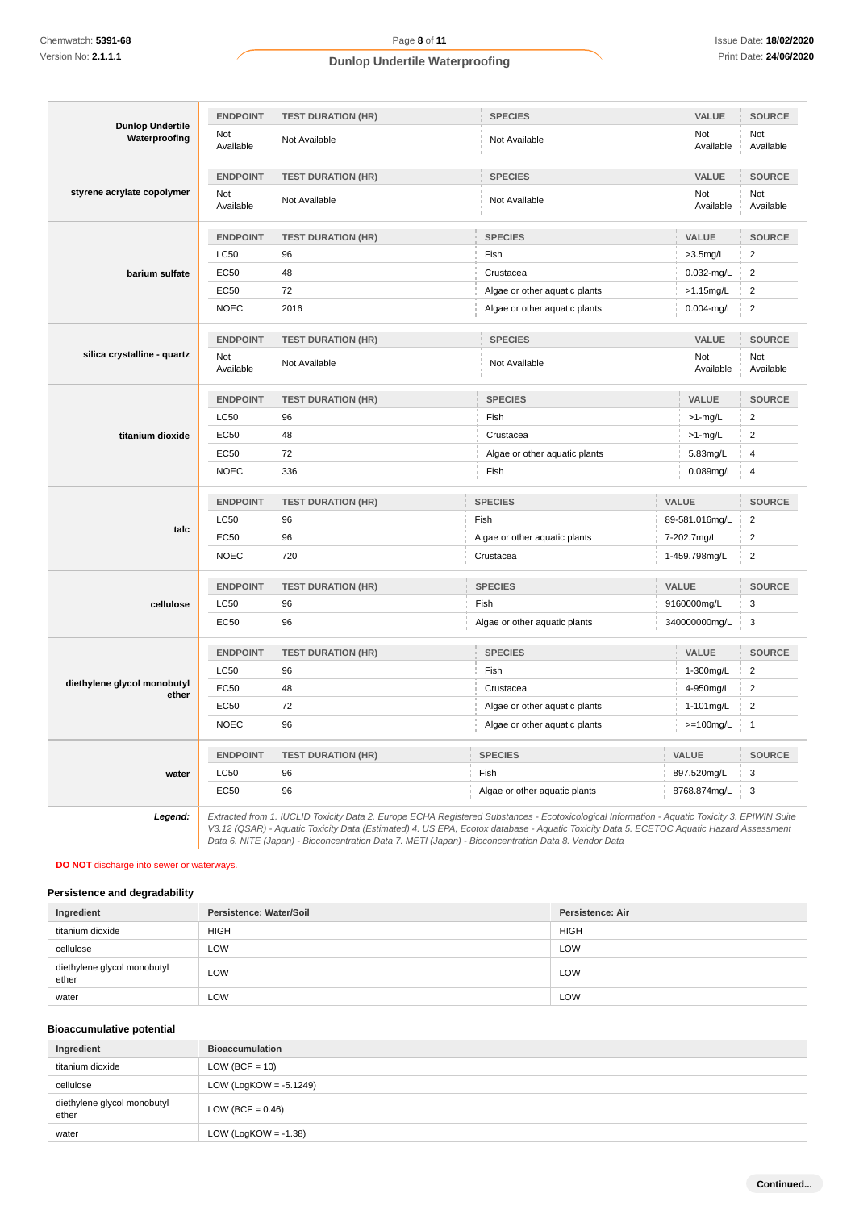|                                          | <b>ENDPOINT</b>  | <b>TEST DURATION (HR)</b> | <b>SPECIES</b>                                                                                                                                                                                                                                                                           |                | VALUE            | <b>SOURCE</b>    |
|------------------------------------------|------------------|---------------------------|------------------------------------------------------------------------------------------------------------------------------------------------------------------------------------------------------------------------------------------------------------------------------------------|----------------|------------------|------------------|
| <b>Dunlop Undertile</b><br>Waterproofing | Not<br>Available | Not Available             | Not Available                                                                                                                                                                                                                                                                            |                | Not<br>Available | Not<br>Available |
|                                          | <b>ENDPOINT</b>  | <b>TEST DURATION (HR)</b> | <b>SPECIES</b>                                                                                                                                                                                                                                                                           |                | VALUE            | <b>SOURCE</b>    |
| styrene acrylate copolymer               | Not<br>Available | Not Available             | Not Available                                                                                                                                                                                                                                                                            |                | Not<br>Available | Not<br>Available |
|                                          | <b>ENDPOINT</b>  | <b>TEST DURATION (HR)</b> | <b>SPECIES</b>                                                                                                                                                                                                                                                                           |                | <b>VALUE</b>     | <b>SOURCE</b>    |
|                                          | <b>LC50</b>      | 96                        | Fish                                                                                                                                                                                                                                                                                     |                | $>3.5$ mg/L      | $\overline{2}$   |
| barium sulfate                           | <b>EC50</b>      | 48                        | Crustacea                                                                                                                                                                                                                                                                                |                | 0.032-mg/L       | $\overline{c}$   |
|                                          | <b>EC50</b>      | 72                        | Algae or other aquatic plants                                                                                                                                                                                                                                                            |                | $>1.15$ mg/L     | $\overline{2}$   |
|                                          | <b>NOEC</b>      | 2016                      | Algae or other aquatic plants                                                                                                                                                                                                                                                            |                | 0.004-mg/L       | $\overline{2}$   |
|                                          | <b>ENDPOINT</b>  | <b>TEST DURATION (HR)</b> | <b>SPECIES</b>                                                                                                                                                                                                                                                                           |                | VALUE            | <b>SOURCE</b>    |
| silica crystalline - quartz              | Not<br>Available | Not Available             | Not Available                                                                                                                                                                                                                                                                            |                | Not<br>Available | Not<br>Available |
|                                          | <b>ENDPOINT</b>  | <b>TEST DURATION (HR)</b> | <b>SPECIES</b>                                                                                                                                                                                                                                                                           |                | VALUE            | <b>SOURCE</b>    |
|                                          | <b>LC50</b>      | 96                        | Fish                                                                                                                                                                                                                                                                                     | $>1$ -mg/L     |                  | $\overline{c}$   |
| titanium dioxide                         | <b>EC50</b>      | 48                        | Crustacea                                                                                                                                                                                                                                                                                | >1-mg/L        |                  | $\overline{c}$   |
|                                          | <b>EC50</b>      | 72                        | Algae or other aquatic plants                                                                                                                                                                                                                                                            |                | 5.83mg/L         | $\overline{4}$   |
|                                          | <b>NOEC</b>      | 336                       | Fish                                                                                                                                                                                                                                                                                     |                | 0.089mg/L        | 4                |
|                                          | <b>ENDPOINT</b>  | <b>TEST DURATION (HR)</b> | <b>SPECIES</b>                                                                                                                                                                                                                                                                           | VALUE          |                  | <b>SOURCE</b>    |
|                                          | <b>LC50</b>      | 96                        | Fish                                                                                                                                                                                                                                                                                     | 89-581.016mg/L |                  | $\overline{2}$   |
| talc                                     | <b>EC50</b>      | 96                        | Algae or other aquatic plants                                                                                                                                                                                                                                                            | 7-202.7mg/L    |                  | $\overline{c}$   |
|                                          | <b>NOEC</b>      | 720                       | Crustacea                                                                                                                                                                                                                                                                                | 1-459.798mg/L  |                  | $\overline{2}$   |
|                                          | <b>ENDPOINT</b>  | <b>TEST DURATION (HR)</b> | <b>SPECIES</b>                                                                                                                                                                                                                                                                           | VALUE          |                  | <b>SOURCE</b>    |
| cellulose                                | <b>LC50</b>      | 96                        | Fish                                                                                                                                                                                                                                                                                     | 9160000mg/L    |                  | 3                |
|                                          | <b>EC50</b>      | 96                        | Algae or other aquatic plants                                                                                                                                                                                                                                                            |                | 340000000mg/L    | 3                |
|                                          | <b>ENDPOINT</b>  | <b>TEST DURATION (HR)</b> | <b>SPECIES</b>                                                                                                                                                                                                                                                                           |                | VALUE            | <b>SOURCE</b>    |
|                                          | <b>LC50</b>      | 96                        | Fish                                                                                                                                                                                                                                                                                     | 1-300mg/L      |                  | $\overline{2}$   |
| diethylene glycol monobutyl              | <b>EC50</b>      | 48                        | Crustacea                                                                                                                                                                                                                                                                                | 4-950mg/L      |                  | $\overline{2}$   |
| ether                                    | <b>EC50</b>      | 72                        | Algae or other aquatic plants                                                                                                                                                                                                                                                            | 1-101mg/L      |                  | $\overline{2}$   |
|                                          | <b>NOEC</b>      | 96                        | Algae or other aquatic plants                                                                                                                                                                                                                                                            |                | $>=100$ mg/L     | $\mathbf{1}$     |
|                                          | <b>ENDPOINT</b>  | <b>TEST DURATION (HR)</b> | <b>SPECIES</b>                                                                                                                                                                                                                                                                           | VALUE          |                  | <b>SOURCE</b>    |
| water                                    | <b>LC50</b>      | 96                        | Fish                                                                                                                                                                                                                                                                                     | 897.520mg/L    |                  | 3                |
|                                          | EC50             | 96                        | Algae or other aquatic plants                                                                                                                                                                                                                                                            |                | 8768.874mg/L     | 3                |
| Legend:                                  |                  |                           | Extracted from 1. IUCLID Toxicity Data 2. Europe ECHA Registered Substances - Ecotoxicological Information - Aquatic Toxicity 3. EPIWIN Suite<br>V3.12 (QSAR) - Aquatic Toxicity Data (Estimated) 4. US EPA, Ecotox database - Aquatic Toxicity Data 5. ECETOC Aquatic Hazard Assessment |                |                  |                  |

# **DO NOT** discharge into sewer or waterways.

# **Persistence and degradability**

| Ingredient                           | Persistence: Water/Soil | Persistence: Air |
|--------------------------------------|-------------------------|------------------|
| titanium dioxide                     | <b>HIGH</b>             | <b>HIGH</b>      |
| cellulose                            | LOW                     | LOW              |
| diethylene glycol monobutyl<br>ether | LOW                     | LOW              |
| water                                | LOW                     | LOW              |

Data 6. NITE (Japan) - Bioconcentration Data 7. METI (Japan) - Bioconcentration Data 8. Vendor Data

# **Bioaccumulative potential**

| Ingredient                           | <b>Bioaccumulation</b>    |
|--------------------------------------|---------------------------|
| titanium dioxide                     | LOW (BCF = $10$ )         |
| cellulose                            | LOW (LogKOW = $-5.1249$ ) |
| diethylene glycol monobutyl<br>ether | LOW (BCF = $0.46$ )       |
| water                                | LOW (LogKOW = $-1.38$ )   |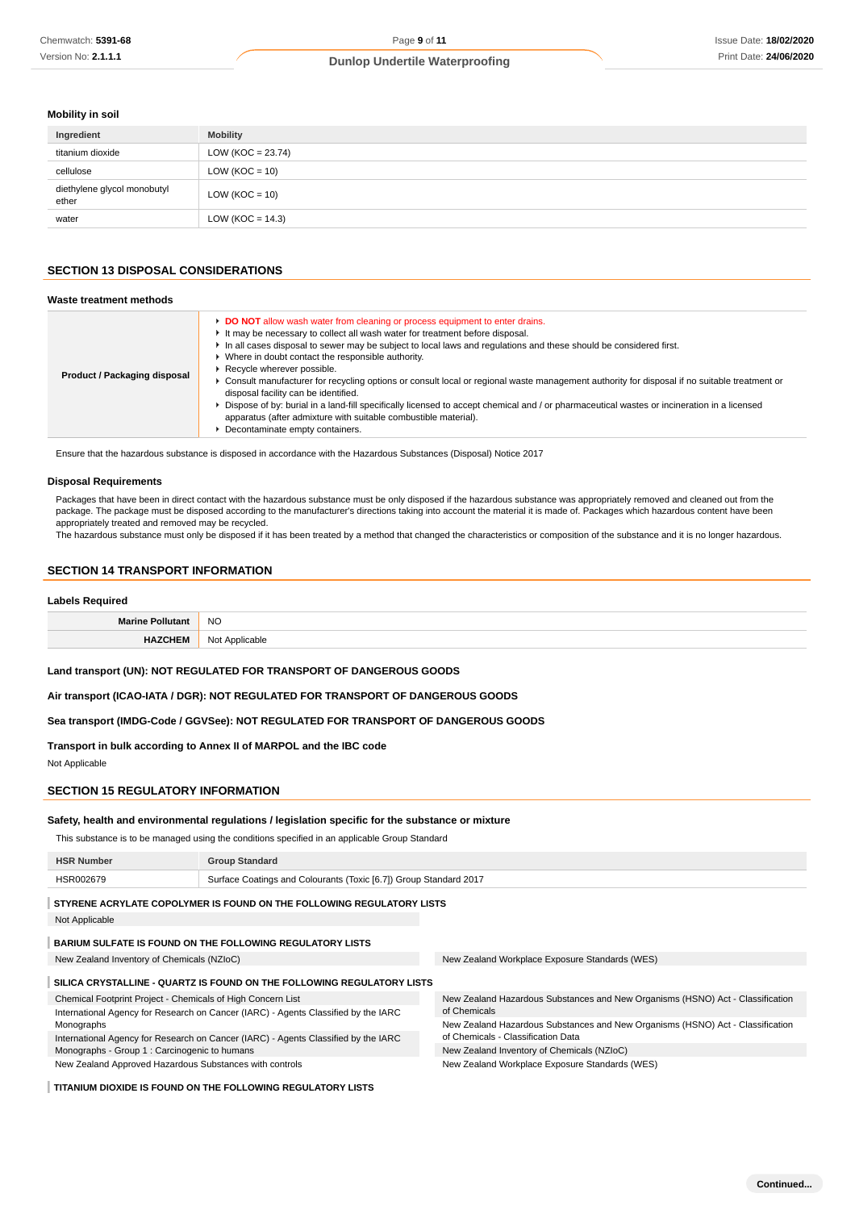### **Mobility in soil**

| Ingredient                           | <b>Mobility</b>      |
|--------------------------------------|----------------------|
| titanium dioxide                     | $LOW (KOC = 23.74)$  |
| cellulose                            | $LOW (KOC = 10)$     |
| diethylene glycol monobutyl<br>ether | $LOW (KOC = 10)$     |
| water                                | LOW ( $KOC = 14.3$ ) |

## **SECTION 13 DISPOSAL CONSIDERATIONS**

| Waste treatment methods      |                                                                                                                                                                                                                                                                                                                                                                                                                                                                                                                                                                                                                                                                                                                                                                                                                        |
|------------------------------|------------------------------------------------------------------------------------------------------------------------------------------------------------------------------------------------------------------------------------------------------------------------------------------------------------------------------------------------------------------------------------------------------------------------------------------------------------------------------------------------------------------------------------------------------------------------------------------------------------------------------------------------------------------------------------------------------------------------------------------------------------------------------------------------------------------------|
| Product / Packaging disposal | DO NOT allow wash water from cleaning or process equipment to enter drains.<br>It may be necessary to collect all wash water for treatment before disposal.<br>In all cases disposal to sewer may be subject to local laws and regulations and these should be considered first.<br>• Where in doubt contact the responsible authority.<br>Recycle wherever possible.<br>► Consult manufacturer for recycling options or consult local or regional waste management authority for disposal if no suitable treatment or<br>disposal facility can be identified.<br>▶ Dispose of by: burial in a land-fill specifically licensed to accept chemical and / or pharmaceutical wastes or incineration in a licensed<br>apparatus (after admixture with suitable combustible material).<br>• Decontaminate empty containers. |

Ensure that the hazardous substance is disposed in accordance with the Hazardous Substances (Disposal) Notice 2017

#### **Disposal Requirements**

Packages that have been in direct contact with the hazardous substance must be only disposed if the hazardous substance was appropriately removed and cleaned out from the package. The package must be disposed according to the manufacturer's directions taking into account the material it is made of. Packages which hazardous content have been appropriately treated and removed may be recycled.

The hazardous substance must only be disposed if it has been treated by a method that changed the characteristics or composition of the substance and it is no longer hazardous.

#### **SECTION 14 TRANSPORT INFORMATION**

#### **Labels Required**

| <b>NO</b><br>__ |
|-----------------|
| NIC<br>         |

**Land transport (UN): NOT REGULATED FOR TRANSPORT OF DANGEROUS GOODS**

**Air transport (ICAO-IATA / DGR): NOT REGULATED FOR TRANSPORT OF DANGEROUS GOODS**

**Sea transport (IMDG-Code / GGVSee): NOT REGULATED FOR TRANSPORT OF DANGEROUS GOODS**

**Transport in bulk according to Annex II of MARPOL and the IBC code**

Not Applicable

### **SECTION 15 REGULATORY INFORMATION**

#### **Safety, health and environmental regulations / legislation specific for the substance or mixture**

This substance is to be managed using the conditions specified in an applicable Group Standard

| <b>HSR Number</b>                                                                  | <b>Group Standard</b>                                                 |                                                                                |  |
|------------------------------------------------------------------------------------|-----------------------------------------------------------------------|--------------------------------------------------------------------------------|--|
| HSR002679                                                                          | Surface Coatings and Colourants (Toxic [6.7]) Group Standard 2017     |                                                                                |  |
|                                                                                    | STYRENE ACRYLATE COPOLYMER IS FOUND ON THE FOLLOWING REGULATORY LISTS |                                                                                |  |
| Not Applicable                                                                     |                                                                       |                                                                                |  |
| <b>BARIUM SULFATE IS FOUND ON THE FOLLOWING REGULATORY LISTS</b>                   |                                                                       |                                                                                |  |
| New Zealand Inventory of Chemicals (NZIoC)                                         |                                                                       | New Zealand Workplace Exposure Standards (WES)                                 |  |
| SILICA CRYSTALLINE - QUARTZ IS FOUND ON THE FOLLOWING REGULATORY LISTS             |                                                                       |                                                                                |  |
| Chemical Footprint Project - Chemicals of High Concern List                        |                                                                       | New Zealand Hazardous Substances and New Organisms (HSNO) Act - Classification |  |
| International Agency for Research on Cancer (IARC) - Agents Classified by the IARC |                                                                       | of Chemicals                                                                   |  |
| Monographs                                                                         |                                                                       | New Zealand Hazardous Substances and New Organisms (HSNO) Act - Classification |  |
| International Agency for Research on Cancer (IARC) - Agents Classified by the IARC |                                                                       | of Chemicals - Classification Data                                             |  |
| Monographs - Group 1 : Carcinogenic to humans                                      |                                                                       | New Zealand Inventory of Chemicals (NZIoC)                                     |  |
| New Zealand Approved Hazardous Substances with controls                            |                                                                       | New Zealand Workplace Exposure Standards (WES)                                 |  |

#### **TITANIUM DIOXIDE IS FOUND ON THE FOLLOWING REGULATORY LISTS**

**Continued...**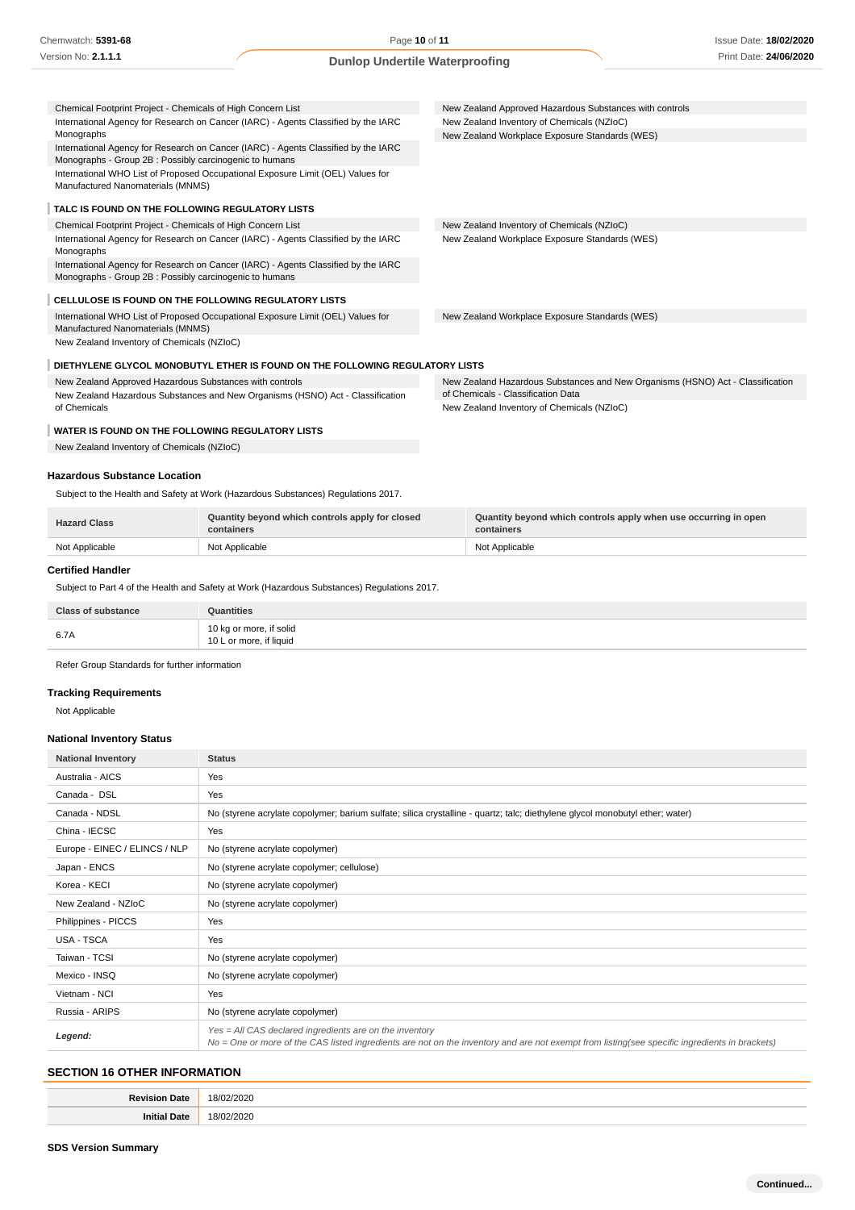| Chemical Footprint Project - Chemicals of High Concern List                                                                                  | New Zealand Approved Hazardous Substances with controls                                                              |
|----------------------------------------------------------------------------------------------------------------------------------------------|----------------------------------------------------------------------------------------------------------------------|
| International Agency for Research on Cancer (IARC) - Agents Classified by the IARC                                                           | New Zealand Inventory of Chemicals (NZIoC)                                                                           |
| Monographs                                                                                                                                   | New Zealand Workplace Exposure Standards (WES)                                                                       |
| International Agency for Research on Cancer (IARC) - Agents Classified by the IARC                                                           |                                                                                                                      |
| Monographs - Group 2B : Possibly carcinogenic to humans<br>International WHO List of Proposed Occupational Exposure Limit (OEL) Values for   |                                                                                                                      |
| Manufactured Nanomaterials (MNMS)                                                                                                            |                                                                                                                      |
|                                                                                                                                              |                                                                                                                      |
| TALC IS FOUND ON THE FOLLOWING REGULATORY LISTS                                                                                              |                                                                                                                      |
| Chemical Footprint Project - Chemicals of High Concern List                                                                                  | New Zealand Inventory of Chemicals (NZIoC)                                                                           |
| International Agency for Research on Cancer (IARC) - Agents Classified by the IARC<br>Monographs                                             | New Zealand Workplace Exposure Standards (WES)                                                                       |
| International Agency for Research on Cancer (IARC) - Agents Classified by the IARC<br>Monographs - Group 2B: Possibly carcinogenic to humans |                                                                                                                      |
| CELLULOSE IS FOUND ON THE FOLLOWING REGULATORY LISTS                                                                                         |                                                                                                                      |
| International WHO List of Proposed Occupational Exposure Limit (OEL) Values for<br>Manufactured Nanomaterials (MNMS)                         | New Zealand Workplace Exposure Standards (WES)                                                                       |
| New Zealand Inventory of Chemicals (NZIoC)                                                                                                   |                                                                                                                      |
| DIETHYLENE GLYCOL MONOBUTYL ETHER IS FOUND ON THE FOLLOWING REGULATORY LISTS                                                                 |                                                                                                                      |
|                                                                                                                                              |                                                                                                                      |
| New Zealand Approved Hazardous Substances with controls                                                                                      | New Zealand Hazardous Substances and New Organisms (HSNO) Act - Classification<br>of Chemicals - Classification Data |
| New Zealand Hazardous Substances and New Organisms (HSNO) Act - Classification<br>of Chemicals                                               | New Zealand Inventory of Chemicals (NZIoC)                                                                           |
|                                                                                                                                              |                                                                                                                      |
| WATER IS FOUND ON THE FOLLOWING REGULATORY LISTS                                                                                             |                                                                                                                      |
| New Zealand Inventory of Chemicals (NZIoC)                                                                                                   |                                                                                                                      |
|                                                                                                                                              |                                                                                                                      |
| <b>Hazardous Substance Location</b>                                                                                                          |                                                                                                                      |

Subject to the Health and Safety at Work (Hazardous Substances) Regulations 2017.

| <b>Hazard Class</b> | Quantity beyond which controls apply for closed<br>containers | Quantity beyond which controls apply when use occurring in open<br>containers |
|---------------------|---------------------------------------------------------------|-------------------------------------------------------------------------------|
| Not Applicable      | Not Applicable                                                | Not Applicable                                                                |

### **Certified Handler**

Subject to Part 4 of the Health and Safety at Work (Hazardous Substances) Regulations 2017.

| <b>Class of substance</b> | Quantities                                         |
|---------------------------|----------------------------------------------------|
| 6.7A                      | 10 kg or more, if solid<br>10 L or more, if liquid |

Refer Group Standards for further information

### **Tracking Requirements**

Not Applicable

## **National Inventory Status**

| <b>National Inventory</b>     | <b>Status</b>                                                                                                                                                                                            |
|-------------------------------|----------------------------------------------------------------------------------------------------------------------------------------------------------------------------------------------------------|
| Australia - AICS              | Yes                                                                                                                                                                                                      |
| Canada - DSL                  | Yes                                                                                                                                                                                                      |
| Canada - NDSL                 | No (styrene acrylate copolymer; barium sulfate; silica crystalline - quartz; talc; diethylene glycol monobutyl ether; water)                                                                             |
| China - IECSC                 | Yes                                                                                                                                                                                                      |
| Europe - EINEC / ELINCS / NLP | No (styrene acrylate copolymer)                                                                                                                                                                          |
| Japan - ENCS                  | No (styrene acrylate copolymer; cellulose)                                                                                                                                                               |
| Korea - KECI                  | No (styrene acrylate copolymer)                                                                                                                                                                          |
| New Zealand - NZIoC           | No (styrene acrylate copolymer)                                                                                                                                                                          |
| Philippines - PICCS           | Yes                                                                                                                                                                                                      |
| USA - TSCA                    | Yes                                                                                                                                                                                                      |
| Taiwan - TCSI                 | No (styrene acrylate copolymer)                                                                                                                                                                          |
| Mexico - INSQ                 | No (styrene acrylate copolymer)                                                                                                                                                                          |
| Vietnam - NCI                 | Yes                                                                                                                                                                                                      |
| Russia - ARIPS                | No (styrene acrylate copolymer)                                                                                                                                                                          |
| Legend:                       | Yes = All CAS declared ingredients are on the inventory<br>No = One or more of the CAS listed ingredients are not on the inventory and are not exempt from listing(see specific ingredients in brackets) |

### **SECTION 16 OTHER INFORMATION**

| . . | ~~~<br>$\Omega$<br>. |
|-----|----------------------|
|     | <br>$^{\circ}$<br>.  |